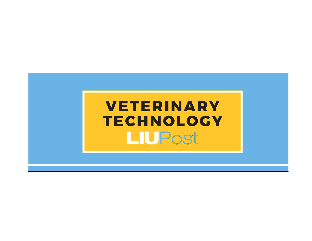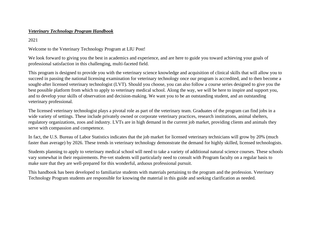### *Veterinary Technology Program Handbook*

# 2021

Welcome to the Veterinary Technology Program at LIU Post!

We look forward to giving you the best in academics and experience, and are here to guide you toward achieving your goals of professional satisfaction in this challenging, multi-faceted field.

This program is designed to provide you with the veterinary science knowledge and acquisition of clinical skills that will allow you to succeed in passing the national licensing examination for veterinary technology once our program is accredited, and to then become a sought-after licensed veterinary technologist (LVT). Should you choose, you can also follow a course series designed to give you the best possible platform from which to apply to veterinary medical school. Along the way, we will be here to inspire and support you, and to develop your skills of observation and decision-making. We want you to be an outstanding student, and an outstanding veterinary professional.

The licensed veterinary technologist plays a pivotal role as part of the veterinary team. Graduates of the program can find jobs in a wide variety of settings. These include privately owned or corporate veterinary practices, research institutions, animal shelters, regulatory organizations, zoos and industry. LVTs are in high demand in the current job market, providing clients and animals they serve with compassion and competence.

In fact, the U.S. Bureau of Labor Statistics indicates that the job market for licensed veterinary technicians will grow by 20% (much faster than average) by 2026. These trends in veterinary technology demonstrate the demand for highly skilled, licensed technologists.

Students planning to apply to veterinary medical school will need to take a variety of additional natural science courses. These schools vary somewhat in their requirements. Pre-vet students will particularly need to consult with Program faculty on a regular basis to make sure that they are well-prepared for this wonderful, arduous professional pursuit.

This handbook has been developed to familiarize students with materials pertaining to the program and the profession. Veterinary Technology Program students are responsible for knowing the material in this guide and seeking clarification as needed.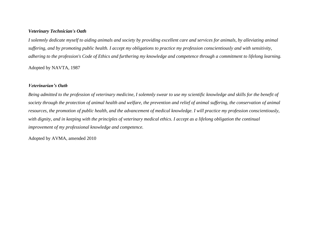#### *Veterinary Technician's Oath*

*I solemnly dedicate myself to aiding animals and society by providing excellent care and services for animals, by alleviating animal suffering, and by promoting public health. I accept my obligations to practice my profession conscientiously and with sensitivity, adhering to the profession's Code of Ethics and furthering my knowledge and competence through a commitment to lifelong learning.*

Adopted by NAVTA, 1987

#### *Veterinarian's Oath*

*Being admitted to the profession of veterinary medicine, I solemnly swear to use my scientific knowledge and skills for the benefit of society through the protection of animal health and welfare, the prevention and relief of animal suffering, the conservation of animal resources, the promotion of public health, and the advancement of medical knowledge. I will practice my profession conscientiously, with dignity, and in keeping with the principles of veterinary medical ethics. I accept as a lifelong obligation the continual improvement of my professional knowledge and competence.*

Adopted by AVMA, amended 2010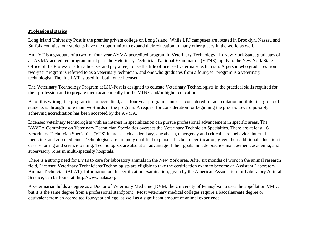### **Professional Basics**

Long Island University Post is the premier private college on Long Island. While LIU campuses are located in Brooklyn, Nassau and Suffolk counties, our students have the opportunity to expand their education to many other places in the world as well.

An LVT is a graduate of a two- or four-year AVMA-accredited program in Veterinary Technology. In New York State, graduates of an AVMA-accredited program must pass the Veterinary Technician National Examination (VTNE), apply to the New York State Office of the Professions for a license, and pay a fee, to use the title of licensed veterinary technician. A person who graduates from a two-year program is referred to as a veterinary technician, and one who graduates from a four-year program is a veterinary technologist. The title LVT is used for both, once licensed.

The Veterinary Technology Program at LIU-Post is designed to educate Veterinary Technologists in the practical skills required for their profession and to prepare them academically for the VTNE and/or higher education.

As of this writing, the program is not accredited, as a four year program cannot be considered for accreditation until its first group of students is through more than two-thirds of the program. A request for consideration for beginning the process toward possibly achieving accreditation has been accepted by the AVMA.

Licensed veterinary technologists with an interest in specialization can pursue professional advancement in specific areas. The NAVTA Committee on Veterinary Technician Specialties oversees the Veterinary Technician Specialties. There are at least 16 Veterinary Technician Specialties (VTS) in areas such as dentistry, anesthesia, emergency and critical care, behavior, internal medicine, and zoo medicine. Technologists are uniquely qualified to pursue this board certification, given their additional education in case reporting and science writing. Technologists are also at an advantage if their goals include practice management, academia, and supervisory roles in multi-specialty hospitals.

There is a strong need for LVTs to care for laboratory animals in the New York area. After six months of work in the animal research field, Licensed Veterinary Technicians/Technologists are eligible to take the certification exam to become an Assistant Laboratory Animal Technician (ALAT). Information on the certification examination, given by the American Association for Laboratory Animal Science, can be found at: http://www.aalas.org

A veterinarian holds a degree as a Doctor of Veterinary Medicine (DVM; the University of Pennsylvania uses the appellation VMD, but it is the same degree from a professional standpoint). Most veterinary medical colleges require a baccalaureate degree or equivalent from an accredited four-year college, as well as a significant amount of animal experience.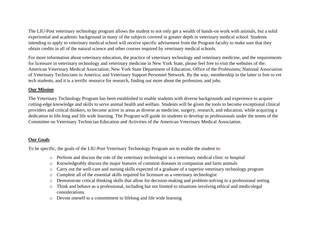The LIU-Post veterinary technology program allows the student to not only get a wealth of hands-on work with animals, but a solid experiential and academic background in many of the subjects covered in greater depth in veterinary medical school. Students intending to apply to veterinary medical school will receive specific advisement from the Program faculty to make sure that they obtain credits in all of the natural science and other courses required by veterinary medical schools.

For more information about veterinary education, the practice of veterinary technology and veterinary medicine, and the requirements for licensure in veterinary technology and veterinary medicine in New York State, please feel free to visit the websites of the: American Veterinary Medical Association; New York State Department of Education, Office of the Professions; National Association of Veterinary Technicians in America; and Veterinary Support Personnel Network. By the way, membership in the latter is free to vet tech students, and it is a terrific resource for research, finding out more about the profession, and jobs.

### **Our Mission**

The Veterinary Technology Program has been established to enable students with diverse backgrounds and experience to acquire cutting-edge knowledge and skills to serve animal health and welfare. Students will be given the tools to become exceptional clinical providers and critical thinkers, to become active in areas as diverse as medicine, surgery, research, and education, while acquiring a dedication to life-long and life wide learning. The Program will guide its students to develop as professionals under the tenets of the Committee on Veterinary Technician Education and Activities of the American Veterinary Medical Association.

## **Our Goals**

To be specific, the goals of the LIU-Post Veterinary Technology Program are to enable the student to:

- o Perform and discuss the role of the veterinary technologist in a veterinary medical clinic or hospital
- o Knowledgeably discuss the major features of common diseases in companion and farm animals
- o Carry out the well-care and nursing skills expected of a graduate of a superior veterinary technology program
- o Complete all of the essential skills required for licensure as a veterinary technologist
- o Demonstrate critical thinking skills that allow for decision-making and problem-solving in a professional setting
- o Think and behave as a professional, including but not limited to situations involving ethical and medicolegal considerations.
- o Devote oneself to a commitment to lifelong and life wide learning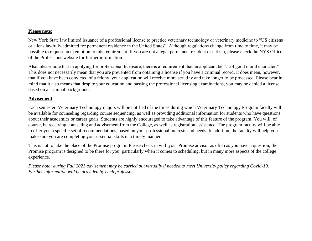### **Please note:**

New York State law limited issuance of a professional license to practice veterinary technology or veterinary medicine to "US citizens or aliens lawfully admitted for permanent residence in the United States". Although regulations change from time to time, it may be possible to request an exemption to this requirement. If you are not a legal permanent resident or citizen, please check the NYS Office of the Professions website for further information.

Also, please note that in applying for professional licensure, there is a requirement that an applicant be "…of good moral character." This does not necessarily mean that you are prevented from obtaining a license if you have a criminal record. It does mean, however, that if you have been convicted of a felony, your application will receive more scrutiny and take longer to be processed. Please bear in mind that it also means that despite your education and passing the professional licensing examinations, you may be denied a license based on a criminal background.

### **Advisement**

Each semester, Veterinary Technology majors will be notified of the times during which Veterinary Technology Program faculty will be available for counseling regarding course sequencing, as well as providing additional information for students who have questions about their academics or career goals. Students are highly encouraged to take advantage of this feature of the program. You will, of course, be receiving counseling and advisement from the College, as well as registration assistance. The program faculty will be able to offer you a specific set of recommendations, based on your professional interests and needs. In addition, the faculty will help you make sure you are completing your essential skills in a timely manner.

This is not to take the place of the Promise program. Please check in with your Promise advisor as often as you have a question; the Promise program is designed to be there for you, particularly when it comes to scheduling, but in many more aspects of the college experience.

*Please note: during Fall 2021 advisement may be carried out virtually if needed to meet University policy regarding Covid-19. Further information will be provided by each professor.*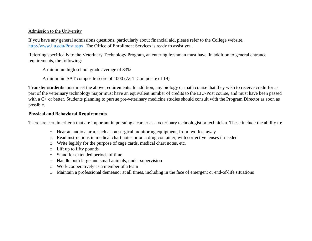#### Admission to the University

If you have any general admissions questions, particularly about financial aid, please refer to the College website, [http://www.liu.edu/Post.aspx.](http://www.liu.edu/Post.aspx) The Office of Enrollment Services is ready to assist you.

Referring specifically to the Veterinary Technology Program, an entering freshman must have, in addition to general entrance requirements, the following:

A minimum high school grade average of 83%

A minimum SAT composite score of 1000 (ACT Composite of 19)

**Transfer students** must meet the above requirements. In addition, any biology or math course that they wish to receive credit for as part of the veterinary technology major must have an equivalent number of credits to the LIU-Post course, and must have been passed with a C+ or better. Students planning to pursue pre-veterinary medicine studies should consult with the Program Director as soon as possible.

### **Physical and Behavioral Requirements**

There are certain criteria that are important in pursuing a career as a veterinary technologist or technician. These include the ability to:

- $\circ$  Hear an audio alarm, such as on surgical monitoring equipment, from two feet away
- o Read instructions in medical chart notes or on a drug container, with corrective lenses if needed
- o Write legibly for the purpose of cage cards, medical chart notes, etc.
- o Lift up to fifty pounds
- o Stand for extended periods of time
- o Handle both large and small animals, under supervision
- o Work cooperatively as a member of a team
- o Maintain a professional demeanor at all times, including in the face of emergent or end-of-life situations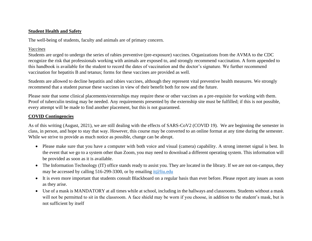### **Student Health and Safety**

The well-being of students, faculty and animals are of primary concern.

### *Vaccines*

Students are urged to undergo the series of rabies preventive (pre-exposure) vaccines. Organizations from the AVMA to the CDC recognize the risk that professionals working with animals are exposed to, and strongly recommend vaccination. A form appended to this handbook is available for the student to record the dates of vaccination and the doctor's signature. We further recommend vaccination for hepatitis B and tetanus; forms for these vaccines are provided as well.

Students are allowed to decline hepatitis and rabies vaccines, although they represent vital preventive health measures. We strongly recommend that a student pursue these vaccines in view of their benefit both for now and the future.

Please note that some clinical placements/externships may require these or other vaccines as a pre-requisite for working with them. Proof of tuberculin testing may be needed. Any requirements presented by the externship site must be fulfilled; if this is not possible, every attempt will be made to find another placement, but this is not guaranteed.

# **COVID Contingencies**

As of this writing (August, 2021), we are still dealing with the effects of SARS-CoV2 (COVID 19). We are beginning the semester in class, in person, and hope to stay that way. However, this course may be converted to an online format at any time during the semester. While we strive to provide as much notice as possible, change can be abrupt.

- Please make sure that you have a computer with both voice and visual (camera) capability. A strong internet signal is best. In the event that we go to a system other than Zoom, you may need to download a different operating system. This information will be provided as soon as it is available.
- The Information Technology (IT) office stands ready to assist you. They are located in the library. If we are not on-campus, they may be accessed by calling 516-299-3300, or by emailing it @liu.edu
- It is even more important that students consult Blackboard on a regular basis than ever before. Please report any issues as soon as they arise.
- Use of a mask is MANDATORY at all times while at school, including in the hallways and classrooms. Students without a mask will not be permitted to sit in the classroom. A face shield may be worn if you choose, in addition to the student's mask, but is not sufficient by itself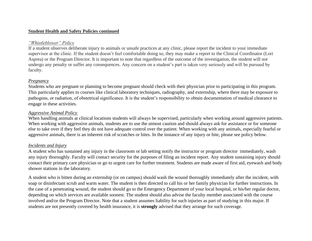### **Student Health and Safety Policies continued**

### *"Whistleblower" Policy*

If a student observes deliberate injury to animals or unsafe practices at any clinic, please report the incident to your immediate supervisor at the clinic. If the student doesn't feel comfortable doing so, they may make a report to the Clinical Coordinator (Lori Asprea) or the Program Director. It is important to note that regardless of the outcome of the investigation, the student will not undergo any penalty or suffer any consequences. Any concern on a student's part is taken very seriously and will be pursued by faculty.

### *Pregnancy*

Students who are pregnant or planning to become pregnant should check with their physician prior to participating in this program. This particularly applies to courses like clinical laboratory techniques, radiography, and externship, where there may be exposure to pathogens, or radiation, of obstetrical significance. It is the student's responsibility to obtain documentation of medical clearance to engage in these activities.

#### *Aggressive Animal Policy*

When handling animals at clinical locations students will always be supervised, particularly when working around aggressive patients. When working with aggressive animals, students are to use the utmost caution and should always ask for assistance or for someone else to take over if they feel they do not have adequate control over the patient. When working with any animals, especially fearful or aggressive animals, there is an inherent risk of scratches or bites. In the instance of any injury or bite, please see policy below.

#### *Incidents and Injury*

A student who has sustained any injury in the classroom or lab setting notify the instructor or program director immediately, wash any injury thoroughly. Faculty will contact security for the purposes of filing an incident report. Any student sustaining injury should contact their primary care physician or go to urgent care for further treatment. Students are made aware of first aid, eyewash and body shower stations in the laboratory.

A student who is bitten during an externship (or on campus) should wash the wound thoroughly immediately after the incident, with soap or disinfectant scrub and warm water. The student is then directed to call his or her family physician for further instructions. In the case of a penetrating wound, the student should go to the Emergency Department of your local hospital, or his/her regular doctor, depending on which services are available soonest. The student should also advise the faculty member associated with the course involved and/or the Program Director. Note that a student assumes liability for such injuries as part of studying in this major. If students are not presently covered by health insurance, it is **strongly** advised that they arrange for such coverage.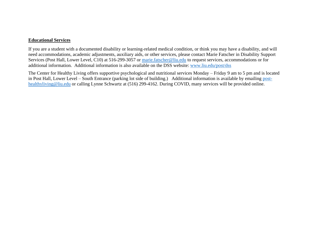### **Educational Services**

If you are a student with a documented disability or learning-related medical condition, or think you may have a disability, and will need accommodations, academic adjustments, auxiliary aids, or other services, please contact Marie Fatscher in Disability Support Services (Post Hall, Lower Level, C10) at 516-299-3057 or [marie.fatscher@liu.edu](mailto:marie.fatscher@liu.edu) to request services, accommodations or for additional information. Additional information is also available on the DSS website: [www.liu.edu/post/dss](http://www.liu.edu/post/dss)

The Center for Healthy Living offers supportive psychological and nutritional services Monday – Friday 9 am to 5 pm and is located in Post Hall, Lower Level – South Entrance (parking lot side of building.) Additional information is available by emailing [post](mailto:post-healthyliving@liu.edu)[healthyliving@liu.edu](mailto:post-healthyliving@liu.edu) or calling Lynne Schwartz at (516) 299-4162. During COVID, many services will be provided online.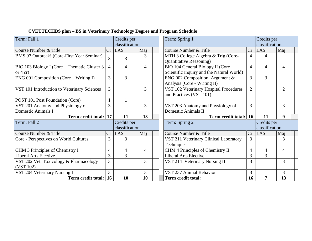| Term: Fall 1                                  |                | Credits per    |                |  | Term: Spring 1                            |                | Credits per    |                  |  |
|-----------------------------------------------|----------------|----------------|----------------|--|-------------------------------------------|----------------|----------------|------------------|--|
|                                               |                | classification |                |  |                                           | classification |                |                  |  |
| Course Number & Title                         |                | $Cr$ LAS       | Maj            |  | Course Number & Title                     | Cr             | LAS            | Maj              |  |
| BMS 97 Outbreak! (Core-First Year Seminar)    | $\overline{3}$ | 3              | 3              |  | MTH 3 College Algebra & Trig (Core-       | $\overline{4}$ | 4              |                  |  |
|                                               |                |                |                |  | Quantitative Reasoning)                   |                |                |                  |  |
| BIO 103 Biology I (Core – Thematic Cluster 3  | $\overline{4}$ | $\overline{4}$ | $\overline{4}$ |  | BIO 104 General Biology II (Core -        | $\overline{4}$ | 4              | 4                |  |
| or $4$ cr)                                    |                |                |                |  | Scientific Inquiry and the Natural World) |                |                |                  |  |
| <b>ENG 001 Composition (Core – Writing I)</b> | 3              | 3              |                |  | ENG 002 Composition: Argument &           | 3              | $\overline{3}$ |                  |  |
|                                               |                |                |                |  | Analysis (Core - Writing II)              |                |                |                  |  |
| VST 101 Introduction to Veterinary Sciences   | 3              |                | 3              |  | VST 102 Veterinary Hospital Procedures    | $\overline{2}$ |                | $\overline{2}$   |  |
|                                               |                |                |                |  | and Practices (VST 101)                   |                |                |                  |  |
| POST 101 Post Foundation (Core)               |                |                |                |  |                                           |                |                |                  |  |
| VST 201 Anatomy and Physiology of             | 3              |                | 3              |  | VST 203 Anatomy and Physiology of         | 3              |                | 3                |  |
| <b>Domestic Animals I</b>                     |                |                |                |  | <b>Domestic Animals II</b>                |                |                |                  |  |
| Term credit total:                            | 17             | 11             | 13             |  | Term credit total:                        | 16             | 11             | $\boldsymbol{9}$ |  |
| Term: Fall 2                                  |                | Credits per    |                |  | Term: Spring 2                            |                | Credits per    |                  |  |
|                                               |                | classification |                |  |                                           |                | classification |                  |  |
| Course Number & Title                         | Cr             | LAS            | Maj            |  | Course Number & Title                     | Cr             | LAS            | Maj              |  |
| Core - Perspectives on World Cultures         | 3              | 3              |                |  | VST 211 Veterinary Clinical Laboratory    | 3              |                | 3                |  |
|                                               |                |                |                |  | Techniques                                |                |                |                  |  |
| CHM 3 Principles of Chemistry I               | 4              | 4              | $\overline{4}$ |  | CHM 4 Principles of Chemistry II          | $\overline{4}$ | 4              | $\overline{4}$   |  |
| <b>Liberal Arts Elective</b>                  | 3              | 3              |                |  | <b>Liberal Arts Elective</b>              | 3              | $\overline{3}$ |                  |  |
| VST 202 Vet. Toxicology & Pharmacology        | 3              |                | 3              |  | VST 214 Veterinary Nursing II             | 3              |                | $\overline{3}$   |  |
| (VST 102)                                     |                |                |                |  |                                           |                |                |                  |  |
| VST 204 Veterinary Nursing I                  | 3              |                | 3              |  | VST 237 Animal Behavior                   | 3              |                | 3                |  |
| <b>Term credit total:</b>                     | <b>16</b>      | 10             | 10             |  | Term credit total:                        | 16             | $\overline{7}$ | 13               |  |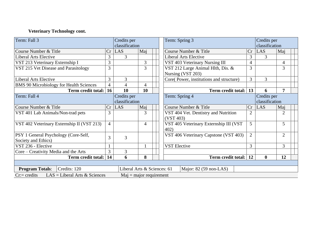# **Veterinary Technology cont.**

| Term: Fall 3                                                                          |                | Credits per<br>classification |                |  | Term: Spring 3 |                                                        | Credits per<br>classification |          |                       |  |
|---------------------------------------------------------------------------------------|----------------|-------------------------------|----------------|--|----------------|--------------------------------------------------------|-------------------------------|----------|-----------------------|--|
| Course Number & Title                                                                 | Cr             | <b>LAS</b>                    | Maj            |  |                | Course Number & Title                                  | Cr                            | LAS      | Maj                   |  |
| <b>Liberal Arts Elective</b>                                                          | 3              | 3                             |                |  |                | <b>Liberal Arts Elective</b>                           | $\overline{3}$                | 3        |                       |  |
| VST 213 Veterinary Externship I                                                       | 3              |                               | $\mathfrak{Z}$ |  |                | VST 403 Veterinary Nursing III                         | 4                             |          | 4                     |  |
| VST 215 Vet Disease and Parasitology                                                  | 3              |                               | 3              |  |                | VST 212 Large Animal Hlth, Dis. &<br>Nursing (VST 203) | $\overline{3}$                |          | 3                     |  |
| <b>Liberal Arts Elective</b>                                                          | 3              | 3                             |                |  |                | Core(Power, institutions and structure)                | 3                             | 3        |                       |  |
| <b>BMS 90 Microbiology for Health Sciences</b>                                        | 4              | 4                             | 4              |  |                |                                                        |                               |          |                       |  |
| <b>Term credit total:</b>                                                             | 16             | 10                            | <b>10</b>      |  |                | <b>Term credit total:</b>                              | 13                            | 6        | 7                     |  |
| Term: Fall 4                                                                          |                | Credits per<br>classification |                |  | Term: Spring 4 |                                                        | Credits per<br>classification |          |                       |  |
| Course Number & Title                                                                 | Cr             | LAS                           | Maj            |  |                | Course Number & Title                                  | Cr                            | LAS      | Maj                   |  |
| VST 401 Lab Animals/Non-trad pets                                                     | 3              |                               | 3              |  |                | VST 404 Vet. Dentistry and Nutrition<br>(VST 403)      | $\overline{2}$                |          | $\mathcal{D}_{\cdot}$ |  |
| VST 402 Veterinary Externship II (VST 213)                                            | $\overline{4}$ |                               | $\overline{4}$ |  | 402)           | VST 405 Veterinary Externship III (VST                 | 5                             |          | 5                     |  |
| PSY 1 General Psychology (Core-Self,<br>Society and Ethics)                           | 3              | 3                             |                |  |                | VST 406 Veterinary Capstone (VST 403)                  | $\overline{2}$                |          | $\overline{2}$        |  |
| VST 236 - Elective                                                                    |                |                               |                |  |                | <b>VST Elective</b>                                    | 3                             |          | $\overline{3}$        |  |
| Core – Creativity Media and the Arts                                                  | 3              | 3                             |                |  |                |                                                        |                               |          |                       |  |
| Term credit total:                                                                    | 14             | 6                             | 8              |  |                | Term credit total:                                     | 12                            | $\bf{0}$ | 12                    |  |
|                                                                                       |                |                               |                |  |                |                                                        |                               |          |                       |  |
| Credits: 120<br><b>Program Totals:</b>                                                |                | Liberal Arts & Sciences: 61   |                |  |                | Major: $82(59 \text{ non-LAS})$                        |                               |          |                       |  |
| $Cr = \text{credits}$<br>$LAS = Liberal Arts & Sciences$<br>$Maj = major requirement$ |                |                               |                |  |                |                                                        |                               |          |                       |  |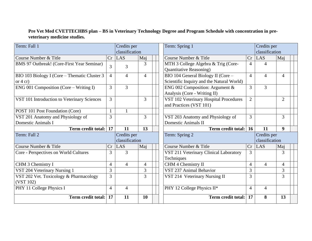# **Pre Vet Med CVETTECHBS plan – BS in Veterinary Technology Degree and Program Schedule with concentration in preveterinary medicine studies.**

| Term: Fall 1                                 |                        | Credits per    |                |  | Term: Spring 1                            |                | Credits per    |                  |  |
|----------------------------------------------|------------------------|----------------|----------------|--|-------------------------------------------|----------------|----------------|------------------|--|
|                                              |                        | classification |                |  |                                           |                | classification |                  |  |
| Course Number & Title                        | Cr                     | LAS            | Maj            |  | Course Number & Title                     | Cr             | LAS            | Maj              |  |
| BMS 97 Outbreak! (Core-First Year Seminar)   | 3                      | 3              | 3              |  | MTH 3 College Algebra & Trig (Core-       | $\overline{4}$ | 4              |                  |  |
|                                              |                        |                |                |  | Quantitative Reasoning)                   |                |                |                  |  |
| BIO 103 Biology I (Core – Thematic Cluster 3 | $\overline{4}$         | $\overline{4}$ | $\overline{4}$ |  | BIO 104 General Biology II (Core -        | $\overline{4}$ | $\overline{4}$ | $\overline{4}$   |  |
| or $4$ cr)                                   |                        |                |                |  | Scientific Inquiry and the Natural World) |                |                |                  |  |
| ENG 001 Composition (Core – Writing I)       | 3                      | 3              |                |  | ENG 002 Composition: Argument &           | 3              | $\overline{3}$ |                  |  |
|                                              |                        |                |                |  | Analysis (Core - Writing II)              |                |                |                  |  |
| VST 101 Introduction to Veterinary Sciences  | 3                      |                | 3              |  | VST 102 Veterinary Hospital Procedures    | $\overline{2}$ |                | $\overline{2}$   |  |
|                                              |                        |                |                |  | and Practices (VST 101)                   |                |                |                  |  |
| POST 101 Post Foundation (Core)              |                        | 1              |                |  |                                           |                |                |                  |  |
| VST 201 Anatomy and Physiology of            | $\overline{3}$         |                | 3              |  | VST 203 Anatomy and Physiology of         | 3              |                | 3                |  |
| Domestic Animals I                           |                        |                |                |  | <b>Domestic Animals II</b>                |                |                |                  |  |
| Term credit total:                           | 17                     | <b>11</b>      | 13             |  | <b>Term credit total:</b>                 | 16             | 11             | $\boldsymbol{9}$ |  |
| Term: Fall 2                                 |                        |                |                |  |                                           |                |                |                  |  |
|                                              |                        | Credits per    |                |  | Term: Spring 2                            |                | Credits per    |                  |  |
|                                              |                        | classification |                |  |                                           |                | classification |                  |  |
| Course Number & Title                        | Cr                     | LAS            | Maj            |  | Course Number & Title                     | Cr             | LAS            | Maj              |  |
| Core - Perspectives on World Cultures        | 3                      | 3              |                |  | VST 211 Veterinary Clinical Laboratory    | 3              |                | 3                |  |
|                                              |                        |                |                |  | Techniques                                |                |                |                  |  |
| CHM 3 Chemistry I                            | $\overline{4}$         | $\overline{4}$ | $\overline{4}$ |  | CHM 4 Chemistry II                        | $\overline{4}$ | $\overline{4}$ | $\overline{4}$   |  |
| VST 204 Veterinary Nursing 1                 | 3                      |                | 3              |  | VST 237 Animal Behavior                   | 3              |                | 3                |  |
| VST 202 Vet. Toxicology & Pharmacology       | 3                      |                | $\overline{3}$ |  | VST 214 Veterinary Nursing II             | 3              |                | 3                |  |
| (VST 102)                                    |                        |                |                |  |                                           |                |                |                  |  |
| PHY 11 College Physics I                     | $\boldsymbol{\Lambda}$ | $\overline{4}$ |                |  | PHY 12 College Physics II*                | $\overline{4}$ | $\overline{4}$ |                  |  |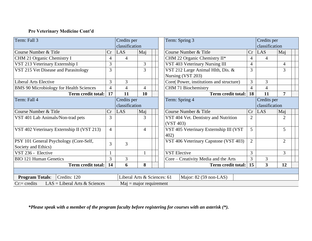# **Pre Veterinary Medicine Cont'd**

| Term: Fall 3                                                                                             |                | Credits per    |                |  |  | Term: Spring 3                          |                | Credits per    |                |  |
|----------------------------------------------------------------------------------------------------------|----------------|----------------|----------------|--|--|-----------------------------------------|----------------|----------------|----------------|--|
|                                                                                                          |                | classification |                |  |  |                                         | classification |                |                |  |
| Course Number & Title                                                                                    | Cr             | LAS            | Maj            |  |  | Course Number & Title                   | Cr             | LAS            | Maj            |  |
| CHM 21 Organic Chemistry I                                                                               | $\overline{4}$ | $\overline{4}$ |                |  |  | CHM 22 Organic Chemistry II*            | $\overline{4}$ | $\overline{4}$ |                |  |
| VST 213 Veterinary Externship I                                                                          | $\overline{3}$ |                | $\mathfrak{Z}$ |  |  | VST 403 Veterinary Nursing III          | $\overline{4}$ |                | $\overline{4}$ |  |
| VST 215 Vet Disease and Parasitology                                                                     | 3              |                | 3              |  |  | VST 212 Large Animal Hlth, Dis. &       | 3              |                | 3              |  |
|                                                                                                          |                |                |                |  |  | Nursing (VST 203)                       |                |                |                |  |
| <b>Liberal Arts Elective</b>                                                                             | 3              | 3              |                |  |  | Core(Power, institutions and structure) | 3              | 3              |                |  |
| <b>BMS 90 Microbiology for Health Sciences</b>                                                           | $\overline{4}$ | 4              | 4              |  |  | <b>CHM 71 Biochemistry</b>              | $\overline{4}$ | $\overline{4}$ |                |  |
| Term credit total:                                                                                       | 17             | 11             | 10             |  |  | Term credit total:                      | 18             | 11             | 7              |  |
| Term: Fall 4                                                                                             |                | Credits per    |                |  |  | Term: Spring 4                          |                | Credits per    |                |  |
|                                                                                                          |                | classification |                |  |  |                                         |                | classification |                |  |
| Course Number & Title                                                                                    | Cr             | LAS            | Maj            |  |  | Course Number & Title                   | Cr             | LAS            | Maj            |  |
| VST 401 Lab Animals/Non-trad pets                                                                        | 3              |                | 3              |  |  | VST 404 Vet. Dentistry and Nutrition    | $\overline{2}$ |                | $\overline{2}$ |  |
|                                                                                                          |                |                |                |  |  | (VST 403)                               |                |                |                |  |
| VST 402 Veterinary Externship II (VST 213)                                                               | $\overline{4}$ |                | $\overline{4}$ |  |  | VST 405 Veterinary Externship III (VST  | 5              |                | 5              |  |
|                                                                                                          |                |                |                |  |  | 402)                                    |                |                |                |  |
| PSY 101 General Psychology (Core-Self,                                                                   | 3              | 3              |                |  |  | VST 406 Veterinary Capstone (VST 403)   | $\overline{2}$ |                | $\overline{2}$ |  |
| Society and Ethics)                                                                                      |                |                |                |  |  |                                         |                |                |                |  |
| VST 236 - Elective                                                                                       |                |                |                |  |  | <b>VST Elective</b>                     | 3              |                | 3              |  |
| <b>BIO 121 Human Genetics</b>                                                                            | 3              | 3              |                |  |  | Core – Creativity Media and the Arts    | 3              | 3              |                |  |
| Term credit total:                                                                                       | 14             | 6              | 8              |  |  | <b>Term credit total:</b>               | 15             | $\overline{3}$ | 12             |  |
|                                                                                                          |                |                |                |  |  |                                         |                |                |                |  |
| Credits: 120<br>Liberal Arts & Sciences: 61<br><b>Program Totals:</b><br>Major: $82(59 \text{ non-LAS})$ |                |                |                |  |  |                                         |                |                |                |  |
| $LAS = Liberal Arts & Sciences$<br>$Cr = \text{credits}$<br>$Maj = major requirement$                    |                |                |                |  |  |                                         |                |                |                |  |

*\*Please speak with a member of the program faculty before registering for courses with an asterisk (\*).*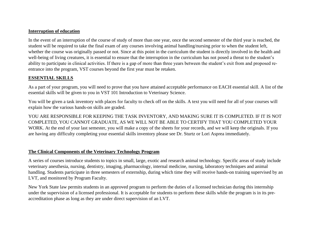### **Interruption of education**

In the event of an interruption of the course of study of more than one year, once the second semester of the third year is reached, the student will be required to take the final exam of any courses involving animal handling/nursing prior to when the student left, whether the course was originally passed or not. Since at this point in the curriculum the student is directly involved in the health and well-being of living creatures, it is essential to ensure that the interruption in the curriculum has not posed a threat to the student's ability to participate in clinical activities. If there is a gap of more than three years between the student's exit from and proposed reentrance into the program, VST courses beyond the first year must be retaken.

### **ESSENTIAL SKILLS**

As a part of your program, you will need to prove that you have attained acceptable performance on EACH essential skill. A list of the essential skills will be given to you in VST 101 Introduction to Veterinary Science.

You will be given a task inventory with places for faculty to check off on the skills. A text you will need for all of your courses will explain how the various hands-on skills are graded.

YOU ARE RESPONSIBLE FOR KEEPING THE TASK INVENTORY, AND MAKING SURE IT IS COMPLETED. IF IT IS NOT COMPLETED, YOU CANNOT GRADUATE, AS WE WILL NOT BE ABLE TO CERTIFY THAT YOU COMPLETED YOUR WORK. At the end of your last semester, you will make a copy of the sheets for your records, and we will keep the originals. If you are having any difficulty completing your essential skills inventory please see Dr. Sturtz or Lori Asprea immediately.

### **The Clinical Components of the Veterinary Technology Program**

A series of courses introduce students to topics in small, large, exotic and research animal technology. Specific areas of study include veterinary anesthesia, nursing, dentistry, imaging, pharmacology, internal medicine, nursing, laboratory techniques and animal handling. Students participate in three semesters of externship, during which time they will receive hands-on training supervised by an LVT, and monitored by Program Faculty.

New York State law permits students in an approved program to perform the duties of a licensed technician during this internship under the supervision of a licensed professional. It is acceptable for students to perform these skills while the program is in its preaccreditation phase as long as they are under direct supervision of an LVT.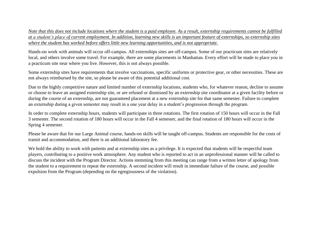*Note that this does not include locations where the student is a paid employee. As a result, externship requirements cannot be fulfilled at a student's place of current employment. In addition, learning new skills is an important feature of externships, so externship sites where the student has worked before offers little new learning opportunities, and is not appropriate.*

Hands-on work with animals will occur off-campus. All externships sites are off-campus. Some of our practicum sites are relatively local, and others involve some travel. For example, there are some placements in Manhattan. Every effort will be made to place you in a practicum site near where you live. However, this is not always possible.

Some externship sites have requirements that involve vaccinations, specific uniforms or protective gear, or other necessities. These are not always reimbursed by the site, so please be aware of this potential additional cost.

Due to the highly competitive nature and limited number of externship locations, students who, for whatever reason, decline to assume or choose to leave an assigned externship site, or are refused or dismissed by an externship site coordinator at a given facility before or during the course of an externship, are not guaranteed placement at a new externship site for that same semester. Failure to complete an externship during a given semester may result in a one year delay in a student's progression through the program.

In order to complete externship hours, students will participate in three rotations. The first rotation of 150 hours will occur in the Fall 3 semester. The second rotation of 180 hours will occur in the Fall 4 semester, and the final rotation of 180 hours will occur in the Spring 4 semester.

Please be aware that for our Large Animal course, hands-on skills will be taught off-campus. Students are responsible for the costs of transit and accommodation, and there is an additional laboratory fee.

We hold the ability to work with patients and at externship sites as a privilege. It is expected that students will be respectful team players, contributing to a positive work atmosphere. Any student who is reported to act in an unprofessional manner will be called to discuss the incident with the Program Director. Actions stemming from this meeting can range from a written letter of apology from the student to a requirement to repeat the externship. A second incident will result in immediate failure of the course, and possible expulsion from the Program (depending on the egregiousness of the violation).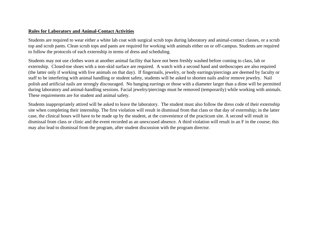### **Rules for Laboratory and Animal-Contact Activities**

Students are required to wear either a white lab coat with surgical scrub tops during laboratory and animal-contact classes, or a scrub top and scrub pants. Clean scrub tops and pants are required for working with animals either on or off-campus. Students are required to follow the protocols of each externship in terms of dress and scheduling.

Students may not use clothes worn at another animal facility that have not been freshly washed before coming to class, lab or externship. Closed-toe shoes with a non-skid surface are required. A watch with a second hand and stethoscopes are also required (the latter only if working with live animals on that day). If fingernails, jewelry, or body earrings/piercings are deemed by faculty or staff to be interfering with animal handling or student safety, students will be asked to shorten nails and/or remove jewelry. Nail polish and artificial nails are strongly discouraged. No hanging earrings or those with a diameter larger than a dime will be permitted during laboratory and animal-handling sessions. Facial jewelry/piercings must be removed (temporarily) while working with animals. These requirements are for student and animal safety.

Students inappropriately attired will be asked to leave the laboratory. The student must also follow the dress code of their externship site when completing their internship. The first violation will result in dismissal from that class or that day of externship; in the latter case, the clinical hours will have to be made up by the student, at the convenience of the practicum site. A second will result in dismissal from class or clinic and the event recorded as an unexcused absence. A third violation will result in an F in the course; this may also lead to dismissal from the program, after student discussion with the program director.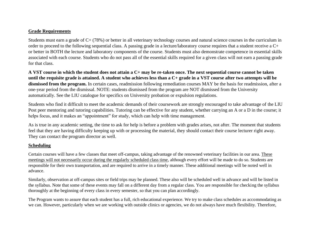### **Grade Requirements**

Students must earn a grade of C+ (78%) or better in all veterinary technology courses and natural science courses in the curriculum in order to proceed to the following sequential class. A passing grade in a lecture/laboratory course requires that a student receive a C+ or better in BOTH the lecture and laboratory components of the course. Students must also demonstrate competence in essential skills associated with each course. Students who do not pass all of the essential skills required for a given class will not earn a passing grade for that class.

**A VST course in which the student does not attain a C+ may be re-taken once. The next sequential course cannot be taken until the requisite grade is attained. A student who achieves less than a C+ grade in a VST course after two attempts will be**  dismissed from the program. In certain cases, readmission following remediation courses MAY be the basis for readmission, after a one-year period from the dismissal. NOTE: students dismissed from the program are NOT dismissed from the University automatically. See the LIU catalogue for specifics on University probation or expulsion regulations.

Students who find it difficult to meet the academic demands of their coursework are strongly encouraged to take advantage of the LIU Post peer mentoring and tutoring capabilities. Tutoring can be effective for any student, whether carrying an A or a D in the course; it helps focus, and it makes an "appointment" for study, which can help with time management.

As is true in any academic setting, the time to ask for help is before a problem with grades arises, not after. The moment that students feel that they are having difficulty keeping up with or processing the material, they should contact their course lecturer right away. They can contact the program director as well.

### **Scheduling**

Certain courses will have a few classes that meet off-campus, taking advantage of the renowned veterinary facilities in our area. These meetings will not necessarily occur during the regularly scheduled class time, although every effort will be made to do so. Students are responsible for their own transportation, and are required to arrive in a timely manner. These additional meetings will be noted well in advance.

Similarly, observation at off-campus sites or field trips may be planned. These also will be scheduled well in advance and will be listed in the syllabus. Note that some of these events may fall on a different day from a regular class. You are responsible for checking the syllabus thoroughly at the beginning of every class in every semester, so that you can plan accordingly.

The Program wants to assure that each student has a full, rich educational experience. We try to make class schedules as accommodating as we can. However, particularly when we are working with outside clinics or agencies, we do not always have much flexibility. Therefore,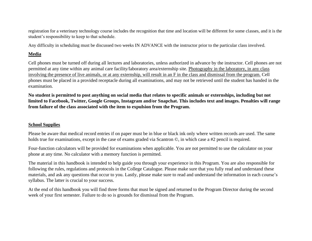registration for a veterinary technology course includes the recognition that time and location will be different for some classes, and it is the student's responsibility to keep to that schedule.

Any difficulty in scheduling must be discussed two weeks IN ADVANCE with the instructor prior to the particular class involved.

# **Media**

Cell phones must be turned off during all lectures and laboratories, unless authorized in advance by the instructor. Cell phones are not permitted at any time within any animal care facility/laboratory area/externship site. Photography in the laboratory, in any class involving the presence of live animals, or at any externship, will result in an F in the class and dismissal from the program. Cell phones must be placed in a provided receptacle during all examinations, and may not be retrieved until the student has handed in the examination.

**No student is permitted to post anything on social media that relates to specific animals or externships, including but not limited to Facebook, Twitter, Google Groups, Instagram and/or Snapchat. This includes text and images. Penalties will range from failure of the class associated with the item to expulsion from the Program.**

### **School Supplies**

Please be aware that medical record entries if on paper must be in blue or black ink only where written records are used. The same holds true for examinations, except in the case of exams graded via Scantron  $\odot$ , in which case a #2 pencil is required.

Four-function calculators will be provided for examinations when applicable. You are not permitted to use the calculator on your phone at any time. No calculator with a memory function is permitted.

The material in this handbook is intended to help guide you through your experience in this Program. You are also responsible for following the rules, regulations and protocols in the College Catalogue. Please make sure that you fully read and understand these materials, and ask any questions that occur to you. Lastly, please make sure to read and understand the information in each course's syllabus. The latter is crucial to your success.

At the end of this handbook you will find three forms that must be signed and returned to the Program Director during the second week of your first semester. Failure to do so is grounds for dismissal from the Program.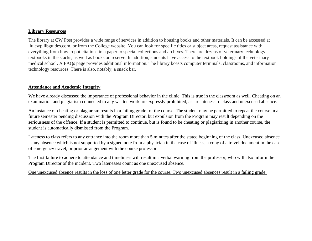### **Library Resources**

The library at CW Post provides a wide range of services in addition to housing books and other materials. It can be accessed at liu.cwp.libguides.com, or from the College website. You can look for specific titles or subject areas, request assistance with everything from how to put citations in a paper to special collections and archives. There are dozens of veterinary technology textbooks in the stacks, as well as books on reserve. In addition, students have access to the textbook holdings of the veterinary medical school. A FAQs page provides additional information. The library boasts computer terminals, classrooms, and information technology resources. There is also, notably, a snack bar.

### **Attendance and Academic Integrity**

We have already discussed the importance of professional behavior in the clinic. This is true in the classroom as well. Cheating on an examination and plagiarism connected to any written work are expressly prohibited, as are lateness to class and unexcused absence.

An instance of cheating or plagiarism results in a failing grade for the course. The student may be permitted to repeat the course in a future semester pending discussion with the Program Director, but expulsion from the Program may result depending on the seriousness of the offence. If a student is permitted to continue, but is found to be cheating or plagiarizing in another course, the student is automatically dismissed from the Program.

Lateness to class refers to any entrance into the room more than 5 minutes after the stated beginning of the class. Unexcused absence is any absence which is not supported by a signed note from a physician in the case of illness, a copy of a travel document in the case of emergency travel, or prior arrangement with the course professor.

The first failure to adhere to attendance and timeliness will result in a verbal warning from the professor, who will also inform the Program Director of the incident. Two latenesses count as one unexcused absence.

One unexcused absence results in the loss of one letter grade for the course. Two unexcused absences result in a failing grade.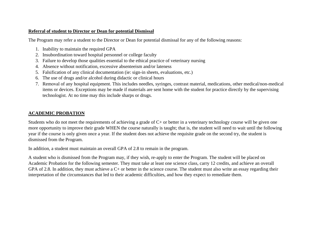### **Referral of student to Director or Dean for potential Dismissal**

The Program may refer a student to the Director or Dean for potential dismissal for any of the following reasons:

- 1. Inability to maintain the required GPA
- 2. Insubordination toward hospital personnel or college faculty
- 3. Failure to develop those qualities essential to the ethical practice of veterinary nursing
- 4. Absence without notification, excessive absenteeism and/or lateness
- 5. Falsification of any clinical documentation (ie: sign-in sheets, evaluations, etc.)
- 6. The use of drugs and/or alcohol during didactic or clinical hours
- 7. Removal of any hospital equipment. This includes needles, syringes, contrast material, medications, other medical/non-medical items or devices. Exceptions may be made if materials are sent home with the student for practice directly by the supervising technologist. At no time may this include sharps or drugs.

### **ACADEMIC PROBATION**

Students who do not meet the requirements of achieving a grade of C+ or better in a veterinary technology course will be given one more opportunity to improve their grade WHEN the course naturally is taught; that is, the student will need to wait until the following year if the course is only given once a year. If the student does not achieve the requisite grade on the second try, the student is dismissed from the Program.

In addition, a student must maintain an overall GPA of 2.8 to remain in the program.

A student who is dismissed from the Program may, if they wish, re-apply to enter the Program. The student will be placed on Academic Probation for the following semester. They must take at least one science class, carry 12 credits, and achieve an overall GPA of 2.8. In addition, they must achieve a C+ or better in the science course. The student must also write an essay regarding their interpretation of the circumstances that led to their academic difficulties, and how they expect to remediate them.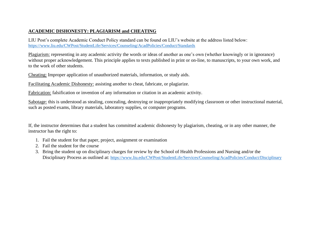## **ACADEMIC DISHONESTY: PLAGIARISM and CHEATING**

LIU Post's complete Academic Conduct Policy standard can be found on LIU's website at the address listed below: <https://www.liu.edu/CWPost/StudentLife/Services/Counseling/AcadPolicies/Conduct/Standards>

Plagiarism: representing in any academic activity the words or ideas of another as one's own (whether knowingly or in ignorance) without proper acknowledgement. This principle applies to texts published in print or on-line, to manuscripts, to your own work, and to the work of other students.

Cheating: Improper application of unauthorized materials, information, or study aids.

Facilitating Academic Dishonesty: assisting another to cheat, fabricate, or plagiarize.

Fabrication: falsification or invention of any information or citation in an academic activity.

Sabotage: this is understood as stealing, concealing, destroying or inappropriately modifying classroom or other instructional material, such as posted exams, library materials, laboratory supplies, or computer programs.

If, the instructor determines that a student has committed academic dishonesty by plagiarism, cheating, or in any other manner, the instructor has the right to:

- 1. Fail the student for that paper, project, assignment or examination
- 2. Fail the student for the course
- 3. Bring the student up on disciplinary charges for review by the School of Health Professions and Nursing and/or the Disciplinary Process as outlined at: <https://www.liu.edu/CWPost/StudentLife/Services/Counseling/AcadPolicies/Conduct/Disciplinary>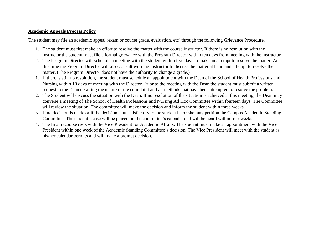### **Academic Appeals Process Policy**

The student may file an academic appeal (exam or course grade, evaluation, etc) through the following Grievance Procedure.

- 1. The student must first make an effort to resolve the matter with the course instructor. If there is no resolution with the instructor the student must file a formal grievance with the Program Director within ten days from meeting with the instructor.
- 2. The Program Director will schedule a meeting with the student within five days to make an attempt to resolve the matter. At this time the Program Director will also consult with the Instructor to discuss the matter at hand and attempt to resolve the matter. (The Program Director does not have the authority to change a grade.)
- 1. If there is still no resolution, the student must schedule an appointment with the Dean of the School of Health Professions and Nursing within 10 days of meeting with the Director. Prior to the meeting with the Dean the student must submit a written request to the Dean detailing the nature of the complaint and all methods that have been attempted to resolve the problem.
- 2. The Student will discuss the situation with the Dean. If no resolution of the situation is achieved at this meeting, the Dean may convene a meeting of The School of Health Professions and Nursing Ad Hoc Committee within fourteen days. The Committee will review the situation. The committee will make the decision and inform the student within three weeks.
- 3. If no decision is made or if the decision is unsatisfactory to the student he or she may petition the Campus Academic Standing Committee. The student's case will be placed on the committee's calendar and will be heard within four weeks.
- 4. The final recourse rests with the Vice President for Academic Affairs. The student must make an appointment with the Vice President within one week of the Academic Standing Committee's decision. The Vice President will meet with the student as his/her calendar permits and will make a prompt decision.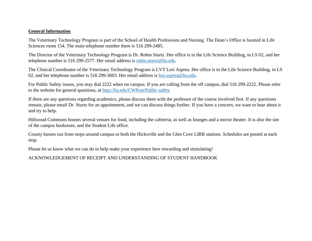### **General Information**

The Veterinary Technology Program is part of the School of Health Professions and Nursing. The Dean's Office is located in Life Sciences room 154. The main telephone number there is 516 299-2485.

The Director of the Veterinary Technology Program is Dr. Robin Sturtz. Her office is in the Life Science Building, in LS 02, and her telephone number is 516 299-2577. Her email address is [robin.sturtz@liu.edu.](mailto:robin.sturtz@liu.edu)

The Clinical Coordinator of the Veterinary Technology Program is LVT Lori Asprea. Her office is in the Life Science Building, in LS 02, and her telephone number is 516 299-3603. Her email address is [lori.asprea@liu.edu.](mailto:lori.asprea@liu.edu)

For Public Safety issues, you may dial 2222 when on campus. If you are calling from the off campus, dial 516 299-2222. Please refer to the website for general questions, at<http://liu.edu/CWPost/Public-safety>

If there are any questions regarding academics, please discuss them with the professor of the course involved first. If any questions remain, please email Dr. Sturtz for an appointment, and we can discuss things further. If you have a concern, we want to hear about it and try to help.

Hillwood Commons houses several venues for food, including the cafeteria, as well as lounges and a movie theater. It is also the site of the campus bookstore, and the Student Life office.

County busses run from stops around campus to both the Hicksville and the Glen Cove LIRR stations. Schedules are posted at each stop.

Please let us know what we can do to help make your experience here rewarding and stimulating!

ACKNOWLEDGEMENT OF RECEIPT AND UNDERSTANDING OF STUDENT HANDBOOK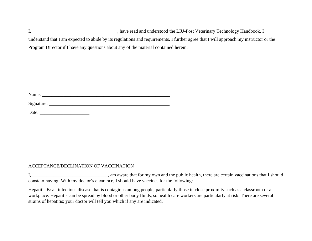I, \_\_\_\_\_\_\_\_\_\_\_\_\_\_\_\_\_\_\_\_\_\_\_\_\_\_\_\_\_\_\_\_\_\_\_\_, have read and understood the LIU-Post Veterinary Technology Handbook. I understand that I am expected to abide by its regulations and requirements. I further agree that I will approach my instructor or the Program Director if I have any questions about any of the material contained herein.

Name:

| Signature: |  |
|------------|--|
|            |  |

Date: \_\_\_\_\_\_\_\_\_\_\_\_\_\_\_\_\_\_\_\_\_

# ACCEPTANCE/DECLINATION OF VACCINATION

I, \_\_\_\_\_\_\_\_\_\_\_\_\_\_\_\_\_\_\_\_\_\_\_\_\_\_\_\_\_\_\_\_, am aware that for my own and the public health, there are certain vaccinations that I should consider having. With my doctor's clearance, I should have vaccines for the following:

Hepatitis B: an infectious disease that is contagious among people, particularly those in close proximity such as a classroom or a workplace. Hepatitis can be spread by blood or other body fluids, so health care workers are particularly at risk. There are several strains of hepatitis; your doctor will tell you which if any are indicated.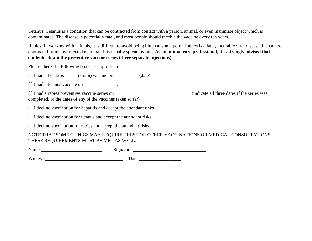Tetanus: Tetanus is a condition that can be contracted from contact with a person, animal, or even inanimate object which is contaminated. The disease is potentially fatal, and most people should receive the vaccine every ten years.

Rabies: In working with animals, it is difficult to avoid being bitten at some point. Rabies is a fatal, incurable viral disease that can be contracted from any infected mammal. It is usually spread by bite. **As an animal care professional, it is strongly advised that students obtain the preventive vaccine series (three separate injections).** 

Please check the following boxes as appropriate:

[ ] I had a hepatitis \_\_\_\_\_ (strain) vaccine on \_\_\_\_\_\_\_\_\_\_ (date)

[] I had a tetanus vaccine on \_\_\_\_\_\_\_\_\_\_\_\_\_.

[ ] I had a rabies preventive vaccine series on \_\_\_\_\_\_\_\_\_\_\_\_\_\_\_\_\_\_\_\_\_\_\_\_\_\_\_\_\_\_\_\_ (indicate all three dates if the series was completed, or the dates of any of the vaccines taken so far)

[] I decline vaccination for hepatitis and accept the attendant risks

[ ] I decline vaccination for tetanus and accept the attendant risks

[ ] I decline vaccination for rabies and accept the attendant risks

## NOTE THAT SOME CLINICS MAY REQUIRE THESE OR OTHER VACCINATIONS OR MEDICAL CONSULTATIONS. THESE REQUIREMENTS MUST BE MET AS WELL.

Name \_\_\_\_\_\_\_\_\_\_\_\_\_\_\_\_\_\_\_\_\_\_\_\_\_\_ Signature \_\_\_\_\_\_\_\_\_\_\_\_\_\_\_\_\_\_\_\_\_\_\_\_\_\_\_\_\_\_\_

Witness \_\_\_\_\_\_\_\_\_\_\_\_\_\_\_\_\_\_\_\_\_\_\_\_\_\_\_\_\_\_\_\_\_ Date \_\_\_\_\_\_\_\_\_\_\_\_\_\_\_\_\_\_